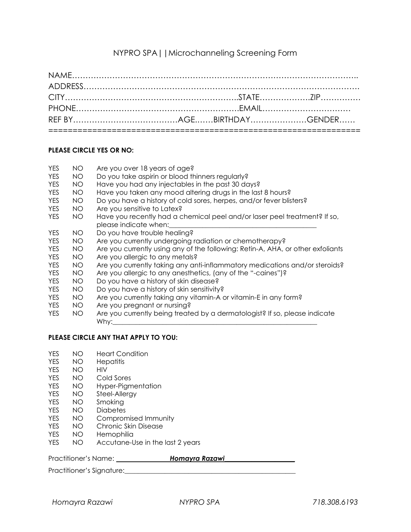### NYPRO SPA||Microchanneling Screening Form

### **PLEASE CIRCLE YES OR NO:**

- YES NO Are you over 18 years of age?
- YES NO Do you take aspirin or blood thinners regularly?
- YES NO Have you had any injectables in the past 30 days?
- YES NO Have you taken any mood altering drugs in the last 8 hours?
- YES NO Do you have a history of cold sores, herpes, and/or fever blisters?
- YES NO Are you sensitive to Latex?
- YES NO Have you recently had a chemical peel and/or laser peel treatment? If so, please indicate when:
- YES NO Do you have trouble healing?
- YES NO Are you currently undergoing radiation or chemotherapy?
- YES NO Are you currently using any of the following: Retin-A, AHA, or other exfoliants
- YES NO Are you allergic to any metals?
- YES NO Are you currently taking any anti-inflammatory medications and/or steroids?
- YES NO Are you allergic to any anesthetics, (any of the "-caines")?
- YES NO Do you have a history of skin disease?
- YES NO Do you have a history of skin sensitivity?
- YES NO Are you currently taking any vitamin-A or vitamin-E in any form?
- YES NO Are you pregnant or nursing?
- YES NO Are you currently being treated by a dermatologist? If so, please indicate Why:\_\_\_\_\_\_\_\_\_\_\_\_\_\_\_\_\_\_\_\_\_\_\_\_\_\_\_\_\_\_\_\_\_\_\_\_\_\_\_\_\_\_\_\_\_\_\_\_\_\_\_\_\_\_\_\_\_\_\_\_\_

### **PLEASE CIRCLE ANY THAT APPLY TO YOU:**

- YES NO Heart Condition
- YES NO Hepatitis
- YES NO HIV
- YES NO Cold Sores
- YES NO Hyper-Pigmentation
- YES NO Steel-Allergy
- YES NO Smoking
- YES NO Diabetes
- YES NO Compromised Immunity
- YES NO Chronic Skin Disease
- YES NO Hemophilia
- YES NO Accutane-Use in the last 2 years

Practitioner's Name: *Homayra Razawi\_*\_\_\_\_\_\_\_\_\_\_\_\_\_\_\_\_\_\_\_\_

Practitioner's Signature:

*Homayra Razawi NYPRO SPA 718.308.6193*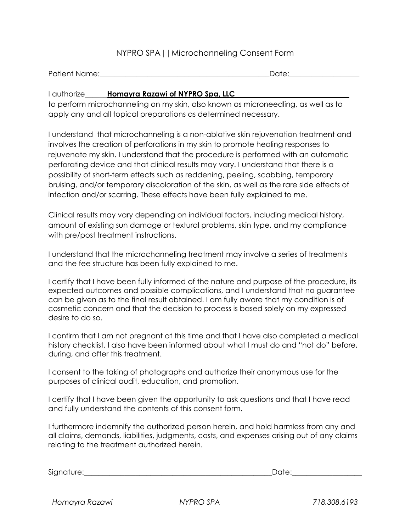## NYPRO SPA||Microchanneling Consent Form

| <b>Patient Name:</b> | Date |
|----------------------|------|
|                      |      |

I authorize\_\_\_\_\_\_**Homayra Razawi of NYPRO Spa, LLC\_\_\_\_\_\_\_\_\_\_\_\_\_\_\_\_\_\_\_\_\_\_\_\_\_\_\_\_\_\_\_**

to perform microchanneling on my skin, also known as microneedling, as well as to apply any and all topical preparations as determined necessary.

I understand that microchanneling is a non-ablative skin rejuvenation treatment and involves the creation of perforations in my skin to promote healing responses to rejuvenate my skin. I understand that the procedure is performed with an automatic perforating device and that clinical results may vary. I understand that there is a possibility of short-term effects such as reddening, peeling, scabbing, temporary bruising, and/or temporary discoloration of the skin, as well as the rare side effects of infection and/or scarring. These effects have been fully explained to me.

Clinical results may vary depending on individual factors, including medical history, amount of existing sun damage or textural problems, skin type, and my compliance with pre/post treatment instructions.

I understand that the microchanneling treatment may involve a series of treatments and the fee structure has been fully explained to me.

I certify that I have been fully informed of the nature and purpose of the procedure, its expected outcomes and possible complications, and I understand that no guarantee can be given as to the final result obtained. I am fully aware that my condition is of cosmetic concern and that the decision to process is based solely on my expressed desire to do so.

I confirm that I am not pregnant at this time and that I have also completed a medical history checklist. I also have been informed about what I must do and "not do" before, during, and after this treatment.

I consent to the taking of photographs and authorize their anonymous use for the purposes of clinical audit, education, and promotion.

I certify that I have been given the opportunity to ask questions and that I have read and fully understand the contents of this consent form.

I furthermore indemnify the authorized person herein, and hold harmless from any and all claims, demands, liabilities, judgments, costs, and expenses arising out of any claims relating to the treatment authorized herein.

| Sianature: |  |
|------------|--|
|            |  |